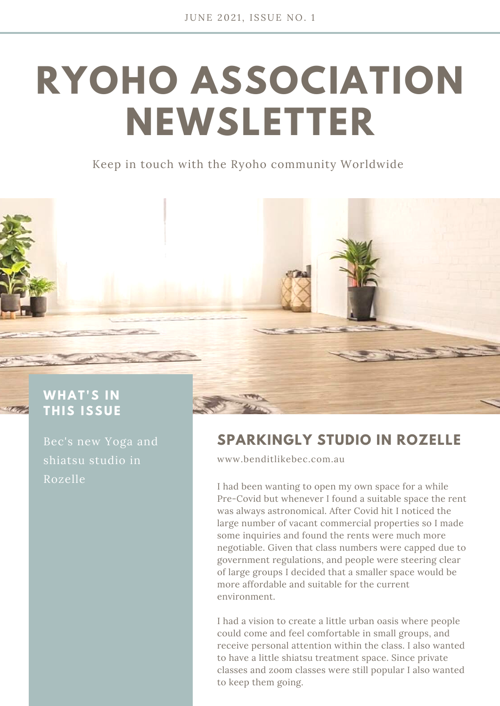## **RYOHO ASSOCIATION NEWSLETTER**

Keep in touch with the Ryoho community Worldwide



## **THIS ISS U E**

Bec's new Yoga and shiatsu studio in Rozelle

## **SPARKINGLY STUDIO IN ROZELLE**

[www.benditlikebec.com.au](http://www.benditlikebec.com.au/)

I had been wanting to open my own space for a while Pre-Covid but whenever I found a suitable space the rent was always astronomical. After Covid hit I noticed the large number of vacant commercial properties so I made some inquiries and found the rents were much more negotiable. Given that class numbers were capped due to government regulations, and people were steering clear of large groups I decided that a smaller space would be more affordable and suitable for the current environment.

I had a vision to create a little urban oasis where people could come and feel comfortable in small groups, and receive personal attention within the class. I also wanted to have a little shiatsu treatment space. Since private classes and zoom classes were still popular I also wanted to keep them going.